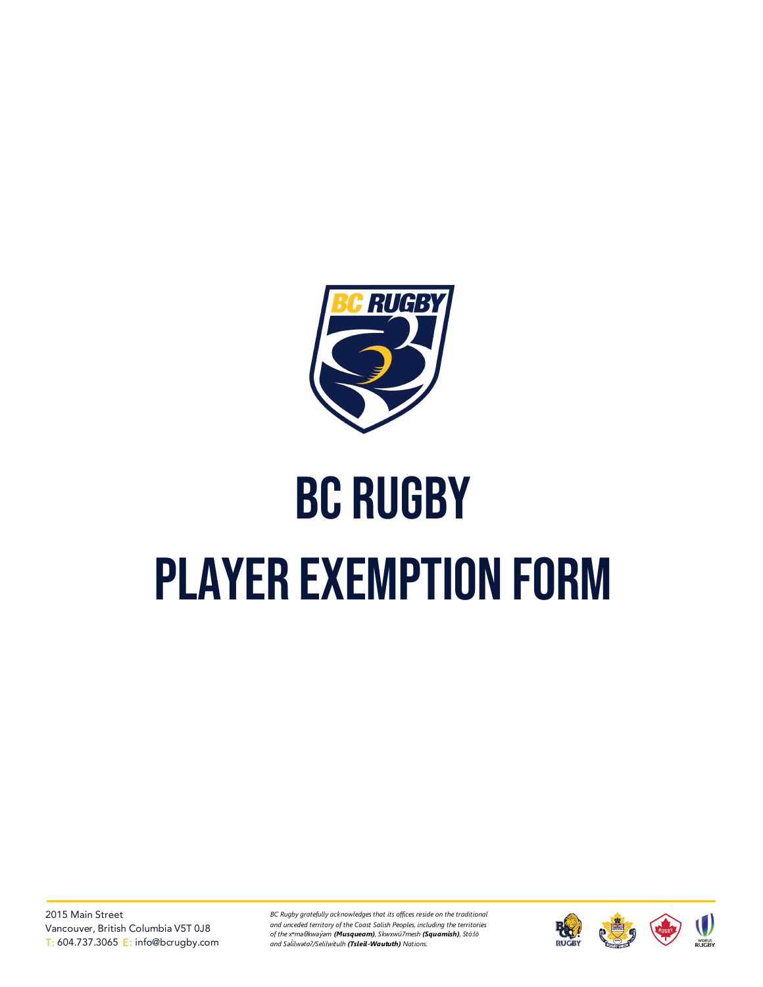

## BC Rugby PLAYER EXEMPTION FORM

*BC Rugby gratefully acknowledges that its offices reside on the traditional and unceded territory of the Coast Salish Peoples, including the territories of the xʷməθkwəy̓əm (Musqueam), Skwxwú7mesh (Squamish), Stó:lō and Səl̓ ílwətaʔ/Selilwitulh (Tsleil-Waututh) Nations.*

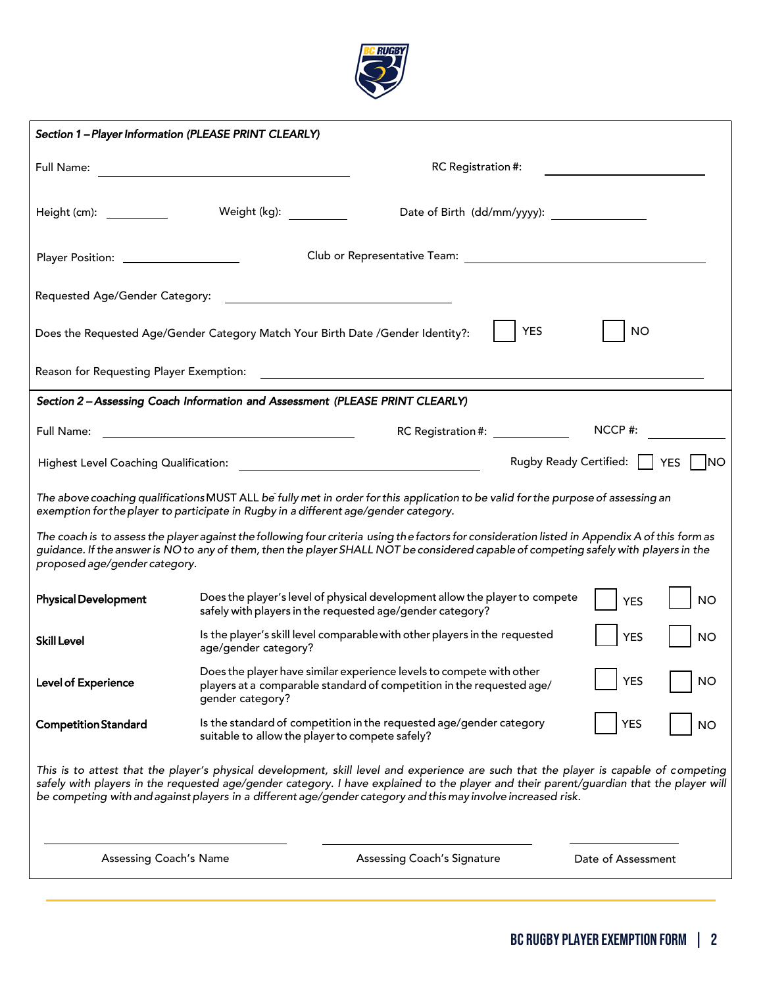

| Section 1-Player Information (PLEASE PRINT CLEARLY)                                                    |                      |                                                                                                                                                                                                                                                                                                                                                                                                   |                         |  |  |
|--------------------------------------------------------------------------------------------------------|----------------------|---------------------------------------------------------------------------------------------------------------------------------------------------------------------------------------------------------------------------------------------------------------------------------------------------------------------------------------------------------------------------------------------------|-------------------------|--|--|
| RC Registration #:<br>Full Name:<br><u> 1989 - Andrea Station Barbara, amerikan personal (h. 1989)</u> |                      |                                                                                                                                                                                                                                                                                                                                                                                                   |                         |  |  |
| Height (cm):                                                                                           | Weight (kg):         | Date of Birth (dd/mm/yyyy):                                                                                                                                                                                                                                                                                                                                                                       |                         |  |  |
|                                                                                                        |                      |                                                                                                                                                                                                                                                                                                                                                                                                   |                         |  |  |
| Requested Age/Gender Category:                                                                         |                      |                                                                                                                                                                                                                                                                                                                                                                                                   |                         |  |  |
|                                                                                                        |                      | <b>YES</b><br>Does the Requested Age/Gender Category Match Your Birth Date /Gender Identity?:                                                                                                                                                                                                                                                                                                     | <b>NO</b>               |  |  |
| Reason for Requesting Player Exemption:                                                                |                      | <u>a sa barang sa mga sangang nagarang sa mga sangang ng mga sangang ng mga sangang ng mga sangang ng mga sangang</u>                                                                                                                                                                                                                                                                             |                         |  |  |
| Section 2 - Assessing Coach Information and Assessment (PLEASE PRINT CLEARLY)                          |                      |                                                                                                                                                                                                                                                                                                                                                                                                   |                         |  |  |
| Full Name:                                                                                             |                      | RC Registration #: \end{Database}                                                                                                                                                                                                                                                                                                                                                                 | NCCP#:                  |  |  |
| Rugby Ready Certified:     YES<br><b>INO</b><br>Highest Level Coaching Qualification:                  |                      |                                                                                                                                                                                                                                                                                                                                                                                                   |                         |  |  |
|                                                                                                        |                      | The above coaching qualifications MUST ALL be fully met in order for this application to be valid for the purpose of assessing an<br>exemption for the player to participate in Rugby in a different age/gender category.                                                                                                                                                                         |                         |  |  |
| proposed age/gender category.                                                                          |                      | The coach is to assess the player against the following four criteria using the factors for consideration listed in Appendix A of this form as<br>guidance. If the answer is NO to any of them, then the player SHALL NOT be considered capable of competing safely with players in the                                                                                                           |                         |  |  |
| <b>Physical Development</b>                                                                            |                      | Does the player's level of physical development allow the player to compete<br>safely with players in the requested age/gender category?                                                                                                                                                                                                                                                          | <b>NO</b><br><b>YES</b> |  |  |
| <b>Skill Level</b>                                                                                     | age/gender category? | Is the player's skill level comparable with other players in the requested                                                                                                                                                                                                                                                                                                                        | <b>YES</b><br><b>NO</b> |  |  |
| Level of Experience                                                                                    | gender category?     | Does the player have similar experience levels to compete with other<br><b>YES</b><br><b>NO</b><br>players at a comparable standard of competition in the requested age/                                                                                                                                                                                                                          |                         |  |  |
| <b>Competition Standard</b>                                                                            |                      | Is the standard of competition in the requested age/gender category<br>suitable to allow the player to compete safely?                                                                                                                                                                                                                                                                            | YES<br><b>NO</b>        |  |  |
|                                                                                                        |                      | This is to attest that the player's physical development, skill level and experience are such that the player is capable of competing<br>safely with players in the requested age/gender category. I have explained to the player and their parent/guardian that the player will<br>be competing with and against players in a different age/gender category and this may involve increased risk. |                         |  |  |
| Assessing Coach's Name                                                                                 |                      | <b>Assessing Coach's Signature</b>                                                                                                                                                                                                                                                                                                                                                                | Date of Assessment      |  |  |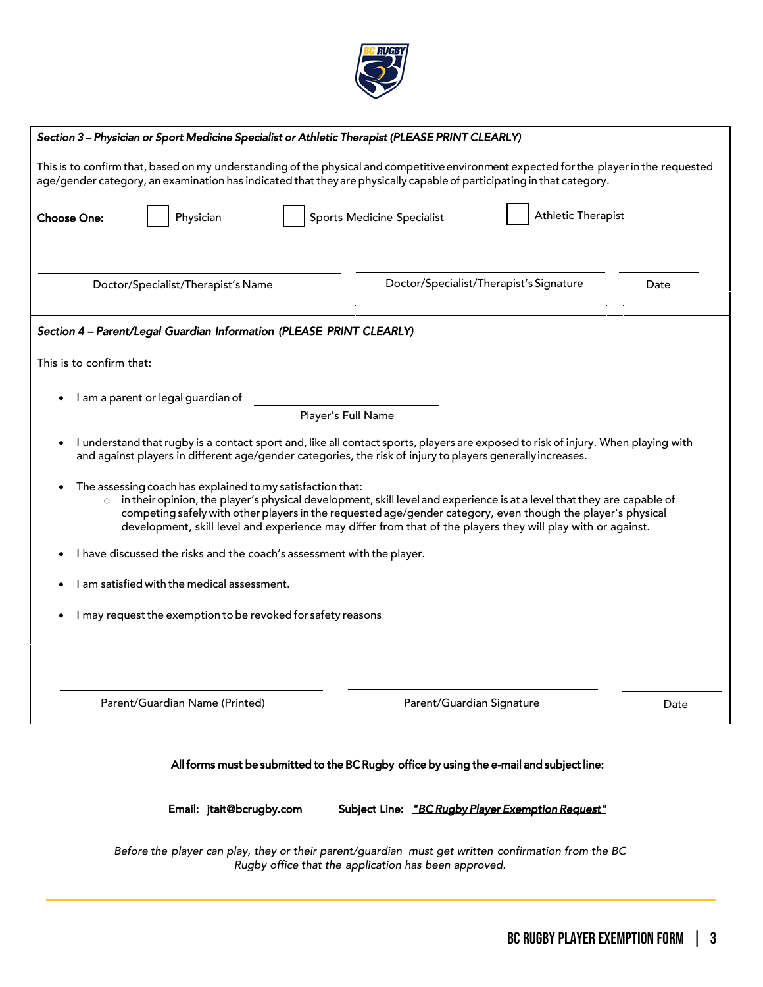

| Section 3-Physician or Sport Medicine Specialist or Athletic Therapist (PLEASE PRINT CLEARLY)                                                                                                                                                                                                                                                                                                                                                                                                                                                                                                                                                                                    |                                                   |                                         |      |
|----------------------------------------------------------------------------------------------------------------------------------------------------------------------------------------------------------------------------------------------------------------------------------------------------------------------------------------------------------------------------------------------------------------------------------------------------------------------------------------------------------------------------------------------------------------------------------------------------------------------------------------------------------------------------------|---------------------------------------------------|-----------------------------------------|------|
| This is to confirm that, based on my understanding of the physical and competitive environment expected for the player in the requested<br>age/gender category, an examination has indicated that they are physically capable of participating in that category.                                                                                                                                                                                                                                                                                                                                                                                                                 |                                                   |                                         |      |
| <b>Choose One:</b><br>Physician                                                                                                                                                                                                                                                                                                                                                                                                                                                                                                                                                                                                                                                  | <b>Sports Medicine Specialist</b>                 | <b>Athletic Therapist</b>               |      |
| Doctor/Specialist/Therapist's Name                                                                                                                                                                                                                                                                                                                                                                                                                                                                                                                                                                                                                                               |                                                   | Doctor/Specialist/Therapist's Signature | Date |
| Section 4 - Parent/Legal Guardian Information (PLEASE PRINT CLEARLY)                                                                                                                                                                                                                                                                                                                                                                                                                                                                                                                                                                                                             |                                                   |                                         |      |
| This is to confirm that:                                                                                                                                                                                                                                                                                                                                                                                                                                                                                                                                                                                                                                                         |                                                   |                                         |      |
| I am a parent or legal guardian of                                                                                                                                                                                                                                                                                                                                                                                                                                                                                                                                                                                                                                               |                                                   |                                         |      |
|                                                                                                                                                                                                                                                                                                                                                                                                                                                                                                                                                                                                                                                                                  | Player's Full Name                                |                                         |      |
| I understand that rugby is a contact sport and, like all contact sports, players are exposed to risk of injury. When playing with<br>and against players in different age/gender categories, the risk of injury to players generally increases.<br>The assessing coach has explained to my satisfaction that:<br>in their opinion, the player's physical development, skill level and experience is at a level that they are capable of<br>$\circ$<br>competing safely with other players in the requested age/gender category, even though the player's physical<br>development, skill level and experience may differ from that of the players they will play with or against. |                                                   |                                         |      |
| I have discussed the risks and the coach's assessment with the player.                                                                                                                                                                                                                                                                                                                                                                                                                                                                                                                                                                                                           |                                                   |                                         |      |
| I am satisfied with the medical assessment.                                                                                                                                                                                                                                                                                                                                                                                                                                                                                                                                                                                                                                      |                                                   |                                         |      |
| I may request the exemption to be revoked for safety reasons                                                                                                                                                                                                                                                                                                                                                                                                                                                                                                                                                                                                                     |                                                   |                                         |      |
|                                                                                                                                                                                                                                                                                                                                                                                                                                                                                                                                                                                                                                                                                  |                                                   |                                         |      |
| Parent/Guardian Name (Printed)                                                                                                                                                                                                                                                                                                                                                                                                                                                                                                                                                                                                                                                   | Parent/Guardian Signature                         |                                         | Date |
| All forms must be submitted to the BC Rugby office by using the e-mail and subject line:<br>Email: jtait@bcrugby.com                                                                                                                                                                                                                                                                                                                                                                                                                                                                                                                                                             | Subject Line: "BC Rugby Player Exemption Request" |                                         |      |

Before the player can play, they or their parent/guardian must get written confirmation from the BC Rugby office that the application has been approved.